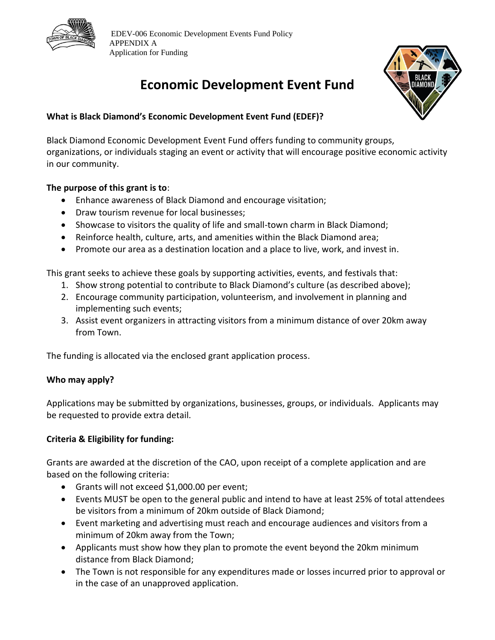



# **Economic Development Event Fund**

## **What is Black Diamond's Economic Development Event Fund (EDEF)?**

Black Diamond Economic Development Event Fund offers funding to community groups, organizations, or individuals staging an event or activity that will encourage positive economic activity in our community.

## **The purpose of this grant is to**:

- Enhance awareness of Black Diamond and encourage visitation;
- Draw tourism revenue for local businesses;
- Showcase to visitors the quality of life and small-town charm in Black Diamond;
- Reinforce health, culture, arts, and amenities within the Black Diamond area;
- Promote our area as a destination location and a place to live, work, and invest in.

This grant seeks to achieve these goals by supporting activities, events, and festivals that:

- 1. Show strong potential to contribute to Black Diamond's culture (as described above);
- 2. Encourage community participation, volunteerism, and involvement in planning and implementing such events;
- 3. Assist event organizers in attracting visitors from a minimum distance of over 20km away from Town.

The funding is allocated via the enclosed grant application process.

## **Who may apply?**

Applications may be submitted by organizations, businesses, groups, or individuals. Applicants may be requested to provide extra detail.

## **Criteria & Eligibility for funding:**

Grants are awarded at the discretion of the CAO, upon receipt of a complete application and are based on the following criteria:

- Grants will not exceed \$1,000.00 per event;
- Events MUST be open to the general public and intend to have at least 25% of total attendees be visitors from a minimum of 20km outside of Black Diamond;
- Event marketing and advertising must reach and encourage audiences and visitors from a minimum of 20km away from the Town;
- Applicants must show how they plan to promote the event beyond the 20km minimum distance from Black Diamond;
- The Town is not responsible for any expenditures made or losses incurred prior to approval or in the case of an unapproved application.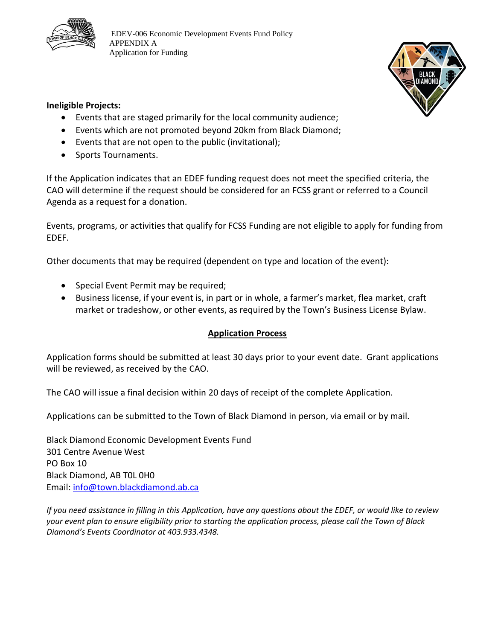



### **Ineligible Projects:**

- Events that are staged primarily for the local community audience;
- Events which are not promoted beyond 20km from Black Diamond;
- Events that are not open to the public (invitational);
- Sports Tournaments.

If the Application indicates that an EDEF funding request does not meet the specified criteria, the CAO will determine if the request should be considered for an FCSS grant or referred to a Council Agenda as a request for a donation.

Events, programs, or activities that qualify for FCSS Funding are not eligible to apply for funding from EDEF.

Other documents that may be required (dependent on type and location of the event):

- Special Event Permit may be required;
- Business license, if your event is, in part or in whole, a farmer's market, flea market, craft market or tradeshow, or other events, as required by the Town's Business License Bylaw.

## **Application Process**

Application forms should be submitted at least 30 days prior to your event date. Grant applications will be reviewed, as received by the CAO.

The CAO will issue a final decision within 20 days of receipt of the complete Application.

Applications can be submitted to the Town of Black Diamond in person, via email or by mail.

Black Diamond Economic Development Events Fund 301 Centre Avenue West PO Box 10 Black Diamond, AB T0L 0H0 Email: [info@town.blackdiamond.ab.ca](mailto:QuinnP@town.blackdiamond.ab.ca)

*If you need assistance in filling in this Application, have any questions about the EDEF, or would like to review your event plan to ensure eligibility prior to starting the application process, please call the Town of Black Diamond's Events Coordinator at 403.933.4348.*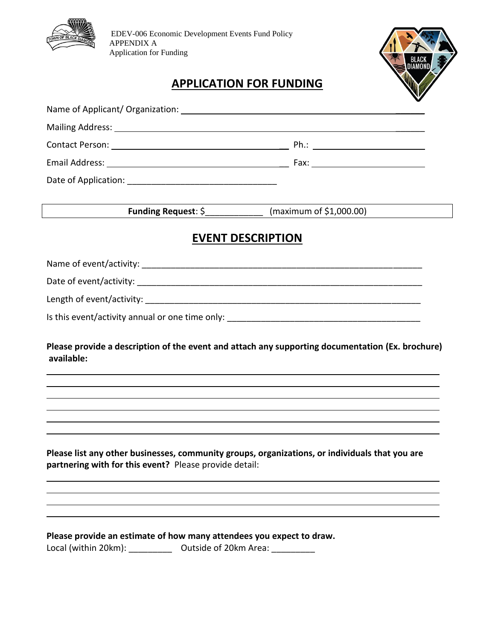



## **APPLICATION FOR FUNDING**

|                                                                                                | Funding Request: $\frac{5}{2}$ (maximum of \$1,000.00) |
|------------------------------------------------------------------------------------------------|--------------------------------------------------------|
|                                                                                                | <b>EVENT DESCRIPTION</b>                               |
|                                                                                                |                                                        |
|                                                                                                |                                                        |
|                                                                                                |                                                        |
|                                                                                                |                                                        |
|                                                                                                |                                                        |
| available:                                                                                     |                                                        |
| Please list any other businesses, community groups, organizations, or individuals that you are |                                                        |
| partnering with for this event? Please provide detail:                                         |                                                        |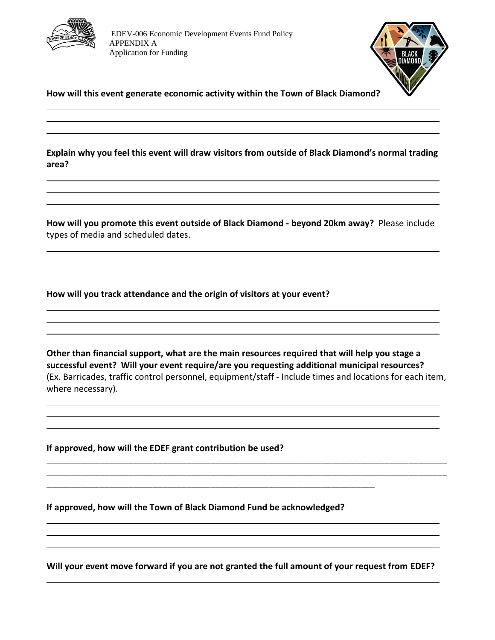



**How will this event generate economic activity within the Town of Black Diamond?**

**Explain why you feel this event will draw visitors from outside of Black Diamond's normal trading area?**

**How will you promote this event outside of Black Diamond - beyond 20km away?** Please include types of media and scheduled dates.

**How will you track attendance and the origin of visitors at your event?** 

**Other than financial support, what are the main resources required that will help you stage a successful event? Will your event require/are you requesting additional municipal resources?** (Ex. Barricades, traffic control personnel, equipment/staff - Include times and locations for each item, where necessary).

\_\_\_\_\_\_\_\_\_\_\_\_\_\_\_\_\_\_\_\_\_\_\_\_\_\_\_\_\_\_\_\_\_\_\_\_\_\_\_\_\_\_\_\_\_\_\_\_\_\_\_\_\_\_\_\_\_\_\_\_\_\_\_\_\_\_\_\_\_\_\_\_\_\_\_\_\_\_\_\_\_\_\_ \_\_\_\_\_\_\_\_\_\_\_\_\_\_\_\_\_\_\_\_\_\_\_\_\_\_\_\_\_\_\_\_\_\_\_\_\_\_\_\_\_\_\_\_\_\_\_\_\_\_\_\_\_\_\_\_\_\_\_\_\_\_\_\_\_\_\_\_\_\_\_\_\_\_\_\_\_\_\_\_\_\_\_

**If approved, how will the EDEF grant contribution be used?**

**If approved, how will the Town of Black Diamond Fund be acknowledged?** 

\_\_\_\_\_\_\_\_\_\_\_\_\_\_\_\_\_\_\_\_\_\_\_\_\_\_\_\_\_\_\_\_\_\_\_\_\_\_\_\_\_\_\_\_\_\_\_\_\_\_\_\_\_\_\_\_\_\_\_\_\_\_\_\_\_\_\_\_

**Will your event move forward if you are not granted the full amount of your request from EDEF?**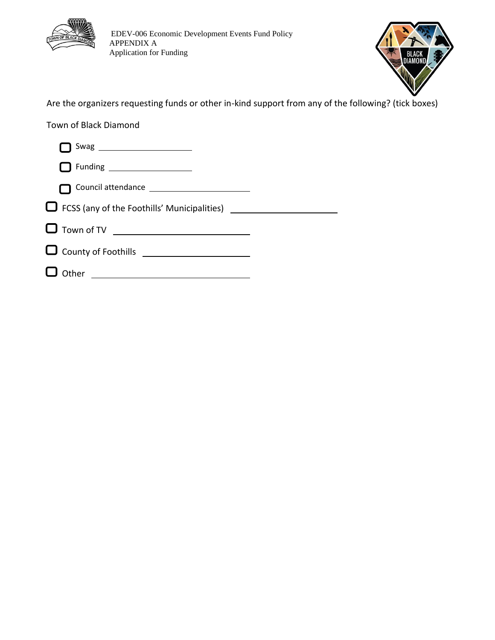



Are the organizers requesting funds or other in-kind support from any of the following? (tick boxes)

Town of Black Diamond

| Funding ____________________                              |  |
|-----------------------------------------------------------|--|
|                                                           |  |
| $\Box$ FCSS (any of the Foothills' Municipalities) $\Box$ |  |
| └┛ Town of TV ________________                            |  |
| $\Box$ County of Foothills $\_\_$                         |  |
| $\Box$ Other                                              |  |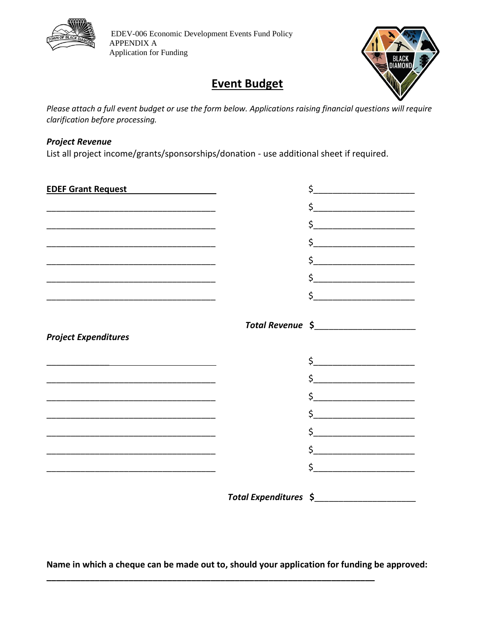

## **Event Budget**

*Please attach a full event budget or use the form below. Applications raising financial questions will require clarification before processing.*

#### *Project Revenue*

List all project income/grants/sponsorships/donation - use additional sheet if required.

| EDEF Grant Request <b>EDEF</b> Grant Request                                                                          |                       | $\zeta$ $\qquad \qquad$                                                                                                                                                                                                                                                                                                                                             |
|-----------------------------------------------------------------------------------------------------------------------|-----------------------|---------------------------------------------------------------------------------------------------------------------------------------------------------------------------------------------------------------------------------------------------------------------------------------------------------------------------------------------------------------------|
|                                                                                                                       |                       | $\frac{1}{2}$                                                                                                                                                                                                                                                                                                                                                       |
| <u> 1980 - Johann Barbara, martin da basar a shekara tsa a shekara tsa a shekara tsa a shekara tsa a shekara tsa</u>  |                       | \$                                                                                                                                                                                                                                                                                                                                                                  |
|                                                                                                                       |                       |                                                                                                                                                                                                                                                                                                                                                                     |
|                                                                                                                       |                       |                                                                                                                                                                                                                                                                                                                                                                     |
|                                                                                                                       |                       | $\begin{picture}(20,10) \put(0,0){\vector(1,0){100}} \put(15,0){\vector(1,0){100}} \put(15,0){\vector(1,0){100}} \put(15,0){\vector(1,0){100}} \put(15,0){\vector(1,0){100}} \put(15,0){\vector(1,0){100}} \put(15,0){\vector(1,0){100}} \put(15,0){\vector(1,0){100}} \put(15,0){\vector(1,0){100}} \put(15,0){\vector(1,0){100}} \put(15,0){\vector(1,0){100}} \$ |
|                                                                                                                       |                       | $\frac{1}{2}$ $\frac{1}{2}$ $\frac{1}{2}$ $\frac{1}{2}$ $\frac{1}{2}$ $\frac{1}{2}$ $\frac{1}{2}$ $\frac{1}{2}$ $\frac{1}{2}$ $\frac{1}{2}$ $\frac{1}{2}$ $\frac{1}{2}$ $\frac{1}{2}$ $\frac{1}{2}$ $\frac{1}{2}$ $\frac{1}{2}$ $\frac{1}{2}$ $\frac{1}{2}$ $\frac{1}{2}$ $\frac{1}{2}$ $\frac{1}{2}$ $\frac{1}{2}$                                                 |
|                                                                                                                       |                       |                                                                                                                                                                                                                                                                                                                                                                     |
|                                                                                                                       |                       |                                                                                                                                                                                                                                                                                                                                                                     |
| <b>Project Expenditures</b>                                                                                           |                       |                                                                                                                                                                                                                                                                                                                                                                     |
|                                                                                                                       |                       | $\frac{1}{2}$                                                                                                                                                                                                                                                                                                                                                       |
| <u> 1980 - Johann John Stone, mars and de final de la provincia de la provincia de la provincia de la provincia d</u> |                       | $\begin{picture}(20,10) \put(0,0){\line(1,0){10}} \put(15,0){\line(1,0){10}} \put(15,0){\line(1,0){10}} \put(15,0){\line(1,0){10}} \put(15,0){\line(1,0){10}} \put(15,0){\line(1,0){10}} \put(15,0){\line(1,0){10}} \put(15,0){\line(1,0){10}} \put(15,0){\line(1,0){10}} \put(15,0){\line(1,0){10}} \put(15,0){\line(1,0){10}} \put(15,0){\line(1$                 |
|                                                                                                                       |                       |                                                                                                                                                                                                                                                                                                                                                                     |
|                                                                                                                       |                       |                                                                                                                                                                                                                                                                                                                                                                     |
|                                                                                                                       |                       | $\sharp$                                                                                                                                                                                                                                                                                                                                                            |
|                                                                                                                       |                       | $\frac{1}{2}$                                                                                                                                                                                                                                                                                                                                                       |
|                                                                                                                       |                       | $\mathsf{\dot{S}}$ , and the set of the set of the set of the set of the set of the set of the set of the set of the set of the set of the set of the set of the set of the set of the set of the set of the set of the set of the se                                                                                                                               |
|                                                                                                                       | Total Expenditures \$ |                                                                                                                                                                                                                                                                                                                                                                     |

**Name in which a cheque can be made out to, should your application for funding be approved:** 

**\_\_\_\_\_\_\_\_\_\_\_\_\_\_\_\_\_\_\_\_\_\_\_\_\_\_\_\_\_\_\_\_\_\_\_\_\_\_\_\_\_\_\_\_\_\_\_\_\_\_\_\_\_\_\_\_\_\_\_\_\_\_\_\_\_\_\_\_**